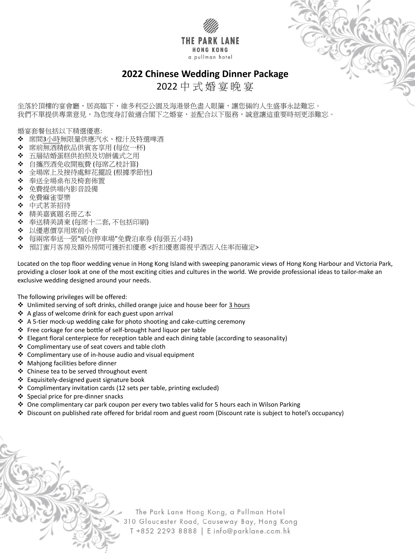



# **2022 Chinese Wedding Dinner Package**

坐落於頂樓的宴會廳,居高臨下,維多利亞公園及海港景色盡入眼簾,讓您倆的人生盛事永誌難忘。 我們不單提供專業意見,為您度身訂做適合閣下之婚宴,並配合以下服務,誠意讓這重要時刻更添難忘。

# 2022 中 式 婚 宴 晚 宴

婚宴套餐包括以下精選優惠:

- ❖ 席間<u>3小時</u>無限量供應汽水、橙汁及特選啤酒
- 席前無酒精飲品供賓客享用 (每位一杯)
- ◆ 五層結婚蛋糕供拍照及切餅儀式之用
- 自攜烈酒免收開瓶費 (每席乙枝計算)
- 全場席上及接待處鮮花擺設 (根據季節性)
- 奉送全場桌布及椅套佈置
- 免費提供場內影音設備
- 免費麻雀耍樂
- ❖ 中式茗茶招待
- ◆ 精美嘉賓題名冊乙本
- 奉送精美請柬 (每席十二套, 不包括印刷)
- 以優惠價享用席前小食
- ◆ 每兩席奉送一張"威信停車場"免費泊車券 (每張五小時)
- ◆ 預訂蜜月客房及額外房間可獲折扣優惠 <折扣優惠需視乎酒店入住率而確定>

Located on the top floor wedding venue in Hong Kong Island with sweeping panoramic views of Hong Kong Harbour and Victoria Park, providing a closer look at one of the most exciting cities and cultures in the world. We provide professional ideas to tailor-make an exclusive wedding designed around your needs.

The following privileges will be offered:

- ◆ Unlimited serving of soft drinks, chilled orange juice and house beer for 3 hours
- ❖ A glass of welcome drink for each guest upon arrival
- ❖ A 5-tier mock-up wedding cake for photo shooting and cake-cutting ceremony
- Free corkage for one bottle of self-brought hard liquor per table
- Elegant floral centerpiece for reception table and each dining table (according to seasonality)
- ❖ Complimentary use of seat covers and table cloth
- Complimentary use of in-house audio and visual equipment
- ◆ Mahjong facilities before dinner
- ❖ Chinese tea to be served throughout event
- Exquisitely-designed guest signature book
- Complimentary invitation cards (12 sets per table, printing excluded)
- 
- Special price for pre-dinner snacks
- ◆ One complimentary car park coupon per every two tables valid for 5 hours each in Wilson Parking
- Discount on published rate offered for bridal room and guest room (Discount rate is subject to hotel's occupancy)

The Park Lane Hong Kong, a Pullman Hotel 310 Gloucester Road, Causeway Bay, Hong Kong T +852 2293 8888 | E info@parklane.com.hk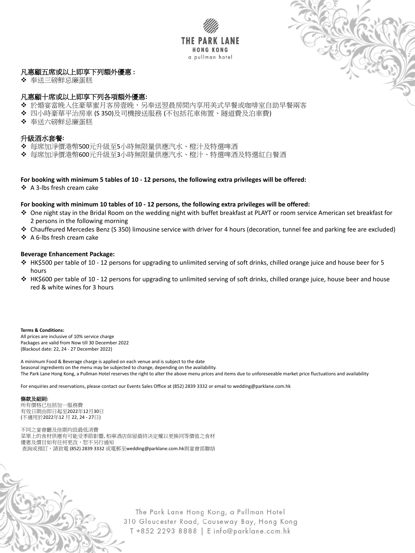



# 凡惠顧五席或以上即享下列額外優惠 **:**

◆ 奉送三磅鮮忌廉蛋糕

## 凡惠顧十席或以上即享下列各項額外優惠**:**

- ◆ 於婚宴當晚入住豪華蜜月客房壹晚,另奉送翌晨房間內享用美式早餐或咖啡室自助早餐兩客
- 四小時豪華平治房車 (S 350)及司機接送服務 (不包括花車佈置、隧道費及泊車費)
- ◆ 奉送六磅鮮忌廉蛋糕

## 升級酒水套餐**:**

- 每席加淨價港幣500元升級至5小時無限量供應汽水、橙汁及特選啤酒
- 每席加淨價港幣600元升級至3小時無限量供應汽水、橙汁、特選啤酒及特選紅白餐酒

## **For booking with minimum 5 tables of 10 - 12 persons, the following extra privileges will be offered:**

❖ A 3-lbs fresh cream cake

## **For booking with minimum 10 tables of 10 - 12 persons, the following extra privileges will be offered:**

- ◆ One night stay in the Bridal Room on the wedding night with buffet breakfast at PLAYT or room service American set breakfast for 2 persons in the following morning
- Chauffeured Mercedes Benz (S 350) limousine service with driver for 4 hours (decoration, tunnel fee and parking fee are excluded)
- ❖ A 6-lbs fresh cream cake

## **Beverage Enhancement Package:**

- HK\$500 per table of 10 12 persons for upgrading to unlimited serving of soft drinks, chilled orange juice and house beer for 5 hours
- HK\$600 per table of 10 12 persons for upgrading to unlimited serving of soft drinks, chilled orange juice, house beer and house red & white wines for 3 hours

#### **Terms & Conditions:**

All prices are inclusive of 10% service charge Packages are valid from Now till 30 December 2022 (Blackout date: 22, 24 - 27 December 2022)

A minimum Food & Beverage charge is applied on each venue and is subject to the date Seasonal ingredients on the menu may be subjected to change, depending on the availability. The Park Lane Hong Kong, a Pullman Hotel reserves the right to alter the above menu prices and items due to unforeseeable market price fluctuations and availability

For enquiries and reservations, please contact our Events Sales Office at (852) 2839 3332 or email to wedding@parklane.com.hk

### 條款及細則**:**

所有價格已包括加一服務費 有效日期由即日起至2022年12月30日 (不適用於2022年12 月 22, 24 - 27日)

不同之宴會廳及佳期均設最低消費 菜單上的食材供應有可能受季節影響, 柏寧酒店保留最終決定權以更換同等價值之食材 優惠及價目如有任何更改,恕不另行通知 查詢或預訂,請致電 (852) 2839 3332 或電郵至wedding@parklane.com.hk與宴會部聯絡

> The Park Lane Hong Kong, a Pullman Hotel 310 Gloucester Road, Causeway Bay, Hong Kong T +852 2293 8888 | E info@parklane.com.hk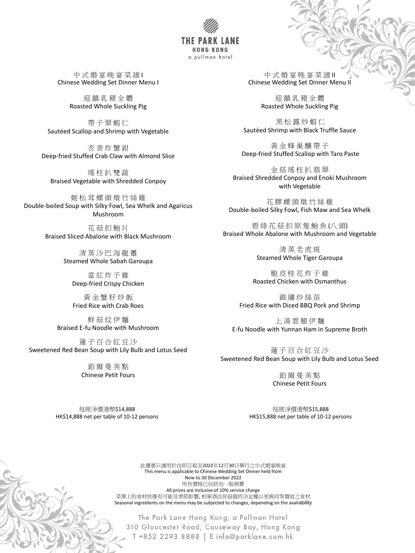THE P **HONG KONG** a pullman hotel

中式婚宴晚宴菜譜Ⅰ Chinese Wedding Set Dinner Menu I

> 迎 囍 乳 豬 全 體 Roasted Whole Suckling Pig

帶 子 翠 蝦 仁 Sautéed Scallop and Shrimp with Vegetable

瑤柱扒雙蔬 Braised Vegetable with Shredded Conpoy

杏 香 炸 蟹 鉗 Deep-fried Stuffed Crab Claw with Almond Slice

> 清蒸沙巴海龍躉 Steamed Whole Sabah Garoupa

姬 松 茸 螺 頭 燉 竹 絲 雞 Double-boiled Soup with Silky Fowl, Sea Whelk and Agaricus Mushroom

蓮子百合紅豆沙 Sweetened Red Bean Soup with Lily Bulb and Lotus Seed

中式婚宴晚宴菜譜Ⅱ Chinese Wedding Set Dinner Menu II

花 菇 扣 鮑 片 Braised Sliced Abalone with Black Mushroom

> 當 紅 炸 子 雞 Deep-fried Crispy Chicken

金菇瑤柱扒翡翠 Braised Shredded Conpoy and Enoki Mushroom with Vegetable

黃 金 蟹 籽 炒 飯 Fried Rice with Crab Roes

鮮 菇 炆 伊 麵 Braised E-fu Noodle with Mushroom

碧 綠 花 菇 扣 原 隻 鮑 魚 (八 頭) Braised Whole Abalone with Mushroom and Vegetable

> 清蒸老虎斑 Steamed Whole Tiger Garoupa

錦 繡 炒 絲 苗 Fried Rice with Diced BBQ Pork and Shrimp

鉑 爾 曼 美 點 Chinese Petit Fours

迎 囍 乳 豬 全 體 Roasted Whole Suckling Pig

黑 松 露 炒 蝦 仁 Sautéed Shrimp with Black Truffle Sauce

黃 金 蜂 巢 釀 帶 子 Deep-fried Stuffed Scallop with Taro Paste

花 膠 螺 頭 燉 竹 絲 雞 Double-boiled Silky Fowl, Fish Maw and Sea Whelk

> 脆 皮 桂 花 炸 子 雞 Roasted Chicken with Osmanthus

上 湯 雲 腿 伊 麵 E-fu Noodle with Yunnan Ham in Supreme Broth

蓮 子 百 合 紅 豆 沙 Sweetened Red Bean Soup with Lily Bulb and Lotus Seed

> 鉑 爾 曼 美 點 Chinese Petit Fours

#### 每席淨價港幣\$14,888 HK\$14,888 net per table of 10-12 persons



The Park Lane Hong Kong, a Pullman Hotel 310 Gloucester Road, Causeway Bay, Hong Kong T +852 2293 8888 | E info@parklane.com.hk

#### 每席淨價港幣\$15,888 HK\$15,888 net per table of 10-12 persons